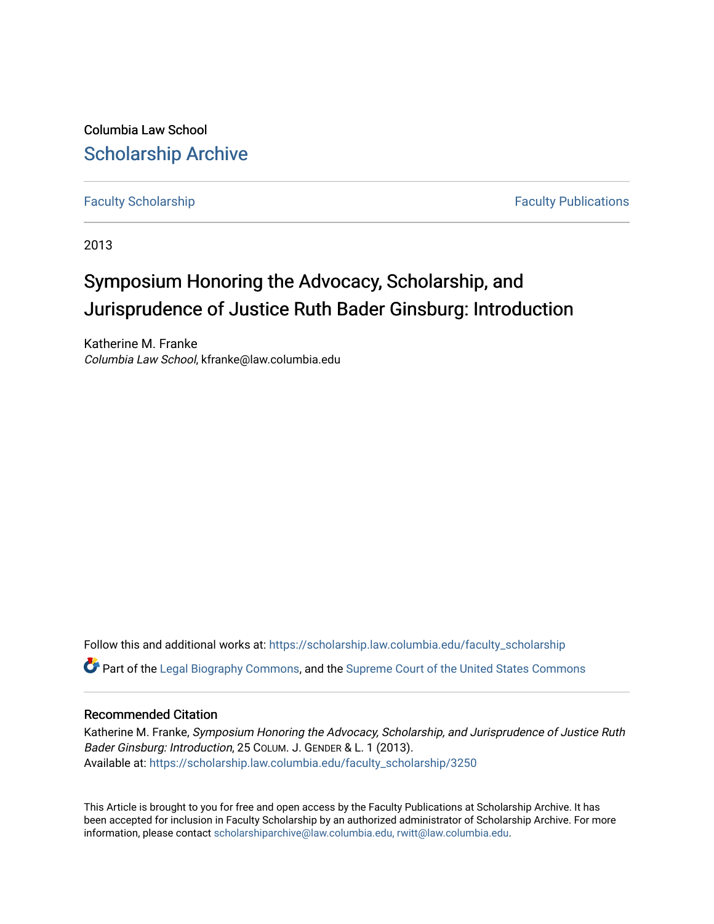Columbia Law School [Scholarship Archive](https://scholarship.law.columbia.edu/) 

[Faculty Scholarship](https://scholarship.law.columbia.edu/faculty_scholarship) **Faculty Scholarship Faculty Publications** 

2013

## Symposium Honoring the Advocacy, Scholarship, and Jurisprudence of Justice Ruth Bader Ginsburg: Introduction

Katherine M. Franke Columbia Law School, kfranke@law.columbia.edu

Follow this and additional works at: [https://scholarship.law.columbia.edu/faculty\\_scholarship](https://scholarship.law.columbia.edu/faculty_scholarship?utm_source=scholarship.law.columbia.edu%2Ffaculty_scholarship%2F3250&utm_medium=PDF&utm_campaign=PDFCoverPages) **P** Part of the [Legal Biography Commons,](http://network.bepress.com/hgg/discipline/834?utm_source=scholarship.law.columbia.edu%2Ffaculty_scholarship%2F3250&utm_medium=PDF&utm_campaign=PDFCoverPages) and the Supreme Court of the United States Commons

## Recommended Citation

Katherine M. Franke, Symposium Honoring the Advocacy, Scholarship, and Jurisprudence of Justice Ruth Bader Ginsburg: Introduction, 25 COLUM. J. GENDER & L. 1 (2013). Available at: [https://scholarship.law.columbia.edu/faculty\\_scholarship/3250](https://scholarship.law.columbia.edu/faculty_scholarship/3250?utm_source=scholarship.law.columbia.edu%2Ffaculty_scholarship%2F3250&utm_medium=PDF&utm_campaign=PDFCoverPages)

This Article is brought to you for free and open access by the Faculty Publications at Scholarship Archive. It has been accepted for inclusion in Faculty Scholarship by an authorized administrator of Scholarship Archive. For more information, please contact [scholarshiparchive@law.columbia.edu, rwitt@law.columbia.edu](mailto:scholarshiparchive@law.columbia.edu,%20rwitt@law.columbia.edu).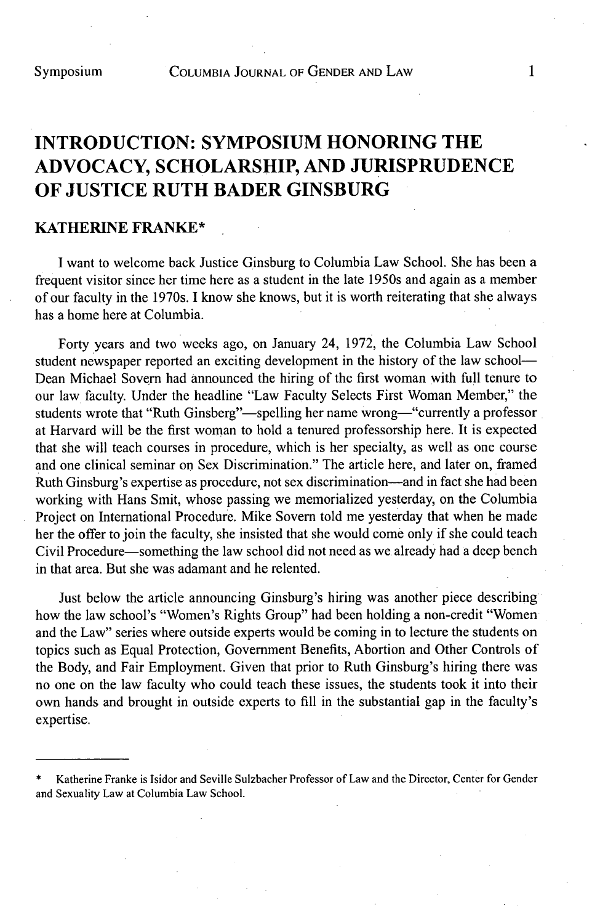## **INTRODUCTION: SYMPOSIUM HONORING THE ADVOCACY, SCHOLARSHIP, AND JURISPRUDENCE OF JUSTICE RUTH BADER GINSBURG**

## **KATHERINE FRANKE\***

**I** want to welcome back Justice Ginsburg to Columbia Law School. She has been a frequent visitor since her time here as a student in the late *1950s* and again as a member of our faculty in the 1970s. **I** know she knows, but it is worth reiterating that she always has a home here at Columbia.

Forty years and two weeks ago, on January 24, **1972,** the Columbia Law School student newspaper reported an exciting development in the history of the law school-Dean Michael Sovern had announced the hiring of the first woman with **full** tenure to our law faculty. Under the headline "Law Faculty Selects First Woman Member," the students wrote that "Ruth Ginsberg"—spelling her name wrong—"currently a professor at Harvard will be the first woman to hold a tenured professorship here. It is expected that she will teach courses in procedure, which is her specialty, as well as one course and one clinical seminar on Sex Discrimination." The article here, and later on, framed Ruth Ginsburg's expertise as procedure, not sex discrimination-and in fact she had been working with Hans Smit, whose passing we memorialized yesterday, on the Columbia Project on International Procedure. Mike Sovern told me yesterday that when he made her the offer to join the faculty, she insisted that she would come only if she could teach Civil Procedure-something the law school did not need as we already had a deep bench in that area. But she was adamant and he relented.

Just below the article announcing Ginsburg's hiring was another piece describing how the law school's "Women's Rights Group" had been holding a non-credit "Women and the Law" series where outside experts would be coming in to lecture the students on topics such as Equal Protection, Government Benefits, Abortion and Other Controls of the Body, and Fair Employment. Given that prior to Ruth Ginsburg's hiring there was no one on the law faculty who could teach these issues, the students took it into their own hands and brought in outside experts to **fill** in the substantial gap in the faculty's expertise.

Katherine Franke is Isidor and Seville Sulzbacher Professor of Law and the Director, Center for Gender and Sexuality Law at Columbia Law School.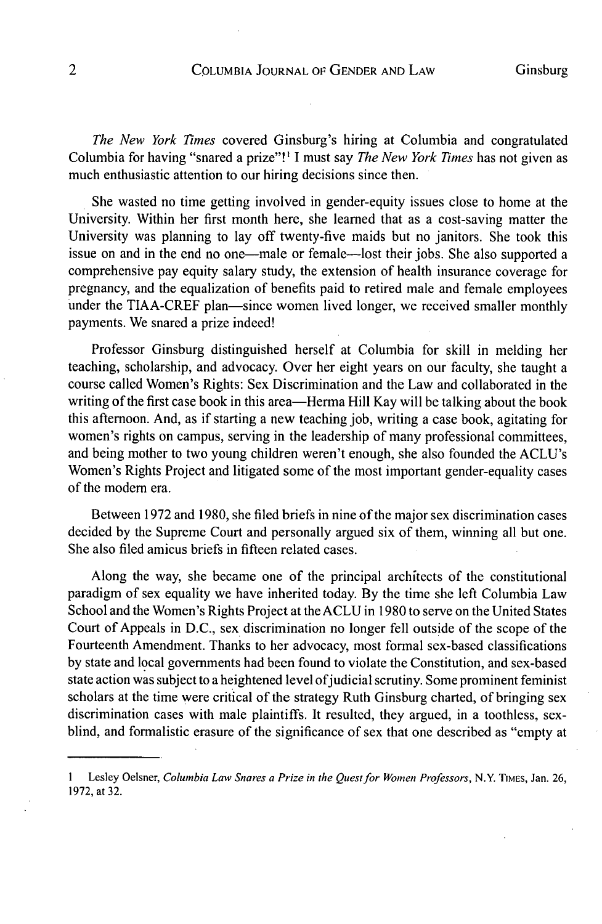*The New York Times* covered Ginsburg's hiring at Columbia and congratulated Columbia for having "snared a prize"!I **I** must say *The New York Times* has not given as much enthusiastic attention to our hiring decisions since then.

She wasted no time getting involved in gender-equity issues close to home at the University. Within her first month here, she learned that as a cost-saving matter the University was planning to lay off twenty-five maids but no janitors. She took this issue on and in the end no one-male or female-lost their jobs. She also supported a comprehensive pay equity salary study, the extension of health insurance coverage for pregnancy, and the equalization of benefits paid to retired male and female employees under the TIAA-CREF plan—since women lived longer, we received smaller monthly payments. We snared a prize indeed!

Professor Ginsburg distinguished herself at Columbia for skill in melding her teaching, scholarship, and advocacy. Over her eight years on our faculty, she taught a course called Women's Rights: Sex Discrimination and the Law and collaborated in the writing of the first case book in this area—Herma Hill Kay will be talking about the book this afternoon. And, as if starting a new teaching **job,** writing a case book, agitating for women's rights on campus, serving in the leadership of many professional committees, and being mother to two young children weren't enough, she also founded the ACLU's Women's Rights Project and litigated some of the most important gender-equality cases of the modem era.

Between **1972** and **1980,** she filed briefs in nine of the major sex discrimination cases decided **by** the Supreme Court and personally argued six of them, winning all but one. She also filed amicus briefs in fifteen related cases.

Along the way, she became one of the principal architects of the constitutional paradigm of sex equality we have inherited today. **By** the time she left Columbia Law School and the Women's Rights Project at the **ACLU** in **1980** to serve on the United States Court of Appeals in **D.C.,** sex discrimination no longer fell outside of the scope of the Fourteenth Amendment. Thanks to her advocacy, most formal sex-based classifications **by** state and local governments had been found to violate the Constitution, and sex-based state action was subject to a heightened level of judicial scrutiny. Some prominent feminist scholars at the time were critical of the strategy Ruth Ginsburg charted, of bringing sex discrimination cases with male plaintiffs. It resulted, they argued, in a toothless, sexblind, and formalistic erasure of the significance of sex that one described as "empty at

**I** Lesley Oelsner, *Columbia Law Snares a Prize in the Quest for Women Professors,* N.Y. **TIMES,** Jan. **26, 1972,** at **32.**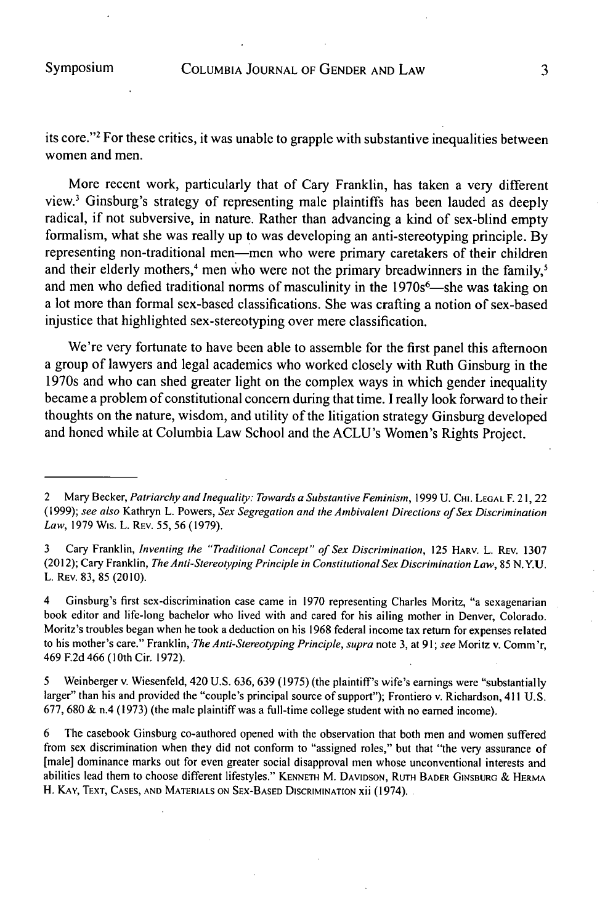its core."<sup>2</sup> For these critics, it was unable to grapple with substantive inequalities between women and men.

More recent work, particularly that of Cary Franklin, has taken a very different view.' Ginsburg's strategy of representing male plaintiffs has been lauded as deeply radical, if not subversive, in nature. Rather than advancing a kind of sex-blind empty formalism, what she was really up to was developing an anti-stereotyping principle. **By** representing non-traditional men-men who were primary caretakers of their children and their elderly mothers,<sup>4</sup> men who were not the primary breadwinners in the family,<sup>5</sup> and men who defied traditional norms of masculinity in the 1970s<sup>6</sup>—she was taking on a lot more than formal sex-based classifications. She was crafting a notion of sex-based injustice that highlighted sex-stereotyping over mere classification.

We're very fortunate to have been able to assemble for the first panel this afternoon a group of lawyers and legal academics who worked closely with Ruth Ginsburg in the 1970s and who can shed greater light on the complex ways in which gender inequality became a problem of constitutional concern during that time. **I** really look forward to their thoughts on the nature, wisdom, and utility of the litigation strategy Ginsburg developed and honed while at Columbia Law School and the ACLU's Women's Rights Project.

**3** Cary Franklin, *Inventing the "Traditional Concept" of Sex Discrimination,* **<sup>125</sup>HARv.** L. **REV. 1307** (2012); Cary Franklin, *TheAnti-Stereotyping Principle in Constitutional Sex Discrimination Law, 85* **N.Y.U.** L. **REV. 83, 85** (2010).

4 Ginsburg's first sex-discrimination case came in **1970** representing Charles Moritz, "a sexagenarian book editor and life-long bachelor who lived with and cared for his ailing mother in Denver, Colorado. Moritz's troubles began when he took a deduction on his **1968** federal income tax return for expenses related to his mother's care." Franklin, *The Anti-Stereotyping Principle, supra* note **3,** at *91; see* Moritz v. Comm'r, 469 **F.2d** 466 **(10th** Cir. **1972).**

*5* Weinberger v. Wiesenfeld, 420 **U.S. 636, 639 (1975)** (the plaintiff's wife's earnings were "substantially larger" than his and provided the "couple's principal source of support"); Frontiero v. Richardson, 411 **U.S. 677, 680 &** n.4 **(1973)** (the male plaintiff was a full-time college student with no earned income).

**6** The casebook Ginsburg co-authored opened with the observation that both men and women suffered from sex discrimination when they did not conform to "assigned roles," but that "the very assurance of [male] dominance marks out for even greater social disapproval men whose unconventional interests and abilities lead them to choose different lifestyles." **KENNETH** M. **DAVIDSON, RUTH BADER GINSBURG & HERMA** H. KAY, **TEXT, CASES, AND MATERIALS ON SEX-BASED DISCRIMINATION** xii (1974).

<sup>2</sup> Mary Becker, *Patriarchy and Inequality: Towards a Substantive Feminism,* **1999 U. CHI. LEGAL** F. 21, 22 **(1999);** *see also* Kathryn L. Powers, *Sex Segregation and the Ambivalent Directions of Sex Discrimination Law,* **1979** Wis. L. **REV. 55, 56 (1979).**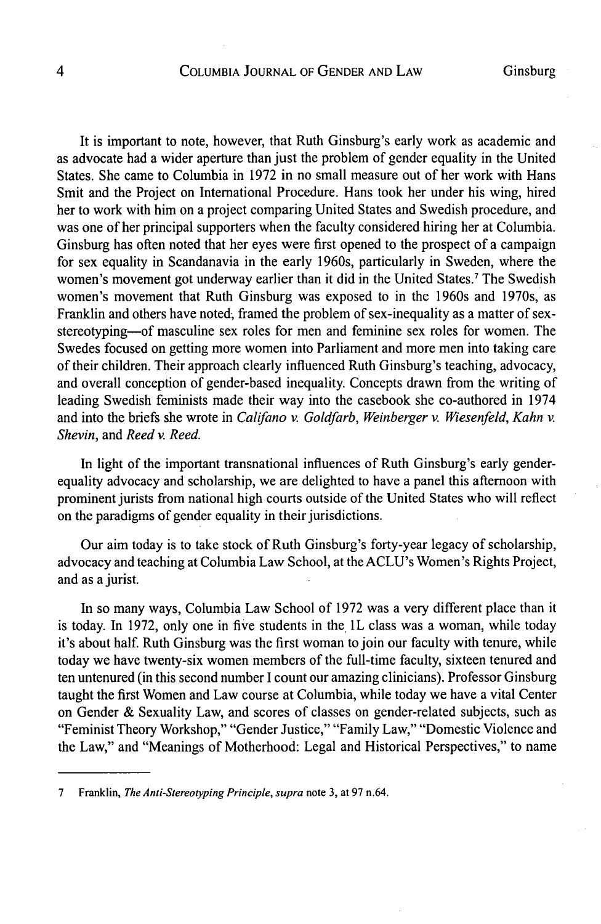It is important to note, however, that Ruth Ginsburg's early work as academic and as advocate had a wider aperture than just the problem of gender equality in the United States. She came to Columbia in **1972** in no small measure out of her work with Hans Smit and the Project on International Procedure. Hans took her under his wing, hired her to work with him on a project comparing United States and Swedish procedure, and was one of her principal supporters when the faculty considered hiring her at Columbia. Ginsburg has often noted that her eyes were first opened to the prospect of a campaign for sex equality in Scandanavia in the early 1960s, particularly in Sweden, where the women's movement got underway earlier than it did in the United States.' The Swedish women's movement that Ruth Ginsburg was exposed to in the 1960s and 1970s, as Franklin and others have noted, framed the problem of sex-inequality as a matter of sexstereotyping-of masculine sex roles for men and feminine sex roles for women. The Swedes focused on getting more women into Parliament and more men into taking care of their children. Their approach clearly influenced Ruth Ginsburg's teaching, advocacy, and overall conception of gender-based inequality. Concepts drawn from the writing of leading Swedish feminists made their way into the casebook she co-authored in 1974 and into the briefs she wrote in *Califano v. Goldfarb, Weinberger v. Wiesenfeld, Kahn v. Shevin, and Reed v. Reed.*

In light of the important transnational influences of Ruth Ginsburg's early genderequality advocacy and scholarship, we are delighted to have a panel this afternoon with prominent jurists from national high courts outside of the United States who will reflect on the paradigms of gender equality in their jurisdictions.

Our aim today is to take stock of Ruth Ginsburg's forty-year legacy of scholarship, advocacy and teaching at Columbia Law School, at the ACLU's Women's Rights Project, and as a jurist.

In so many ways, Columbia Law School of **1972** was a very different place than it is today. In 1972, only one in five students in the 1L class was a woman, while today it's about half. Ruth Ginsburg was the first woman to join our faculty with tenure, while today we have twenty-six women members of the full-time faculty, sixteen tenured and ten untenured (in this second number **I** count our amazing clinicians). Professor Ginsburg taught the first Women and Law course at Columbia, while today we have a vital Center on Gender **&** Sexuality Law, and scores of classes on gender-related subjects, such as "Feminist Theory Workshop," "Gender Justice," "Family Law," "Domestic Violence and the Law," and "Meanings of Motherhood: Legal and Historical Perspectives," to name

**<sup>7</sup>** Franklin, *The Anti-Stereotyping Principle, supra* note **3,** at **97** n.64.